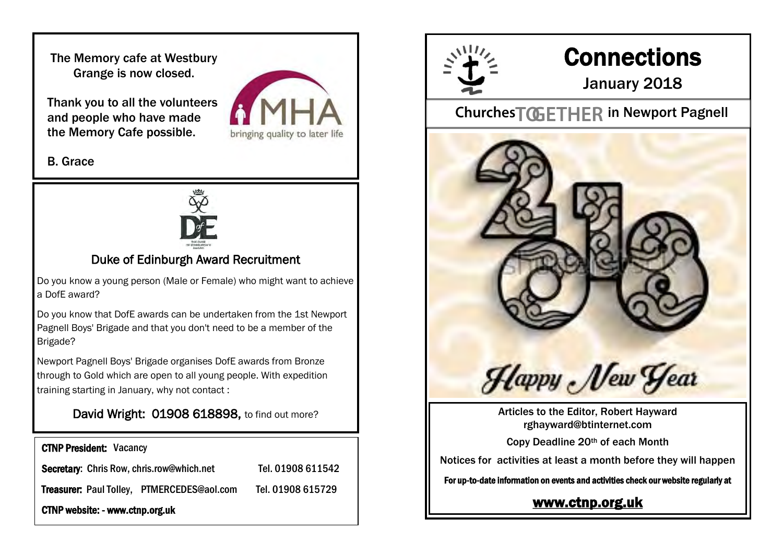The Memory cafe at Westbury Grange is now closed.

Thank you to all the volunteers and people who have made the Memory Cafe possible.



#### B. Grace



# Duke of Edinburgh Award Recruitment

Do you know a young person (Male or Female) who might want to achieve a DofE award?

Do you know that DofE awards can be undertaken from the 1st Newport Pagnell Boys' Brigade and that you don't need to be a member of the Brigade?

Newport Pagnell Boys' Brigade organises DofE awards from Bronze through to Gold which are open to all young people. With expedition training starting in January, why not contact :

### David Wright: 01908 618898, to find out more?

| <b>CTNP President: Vacancy</b>                   |                   |
|--------------------------------------------------|-------------------|
| <b>Secretary: Chris Row, chris.row@which.net</b> | Tel. 01908 611542 |
| Treasurer: Paul Tolley, PTMERCEDES@aol.com       | Tel. 01908 615729 |
| CTNP website: - www.ctnp.org.uk                  |                   |



# **Connections**

# January 2018

# Churches TOGETHER in Newport Pagnell



Articles to the Editor, Robert Hayward rghayward@btinternet.com

Copy Deadline 20th of each Month

Notices for activities at least a month before they will happen

For up-to-date information on events and activities check our website regularly at

# [www.ctnp.org.uk](http://www.ctnp.org.uk)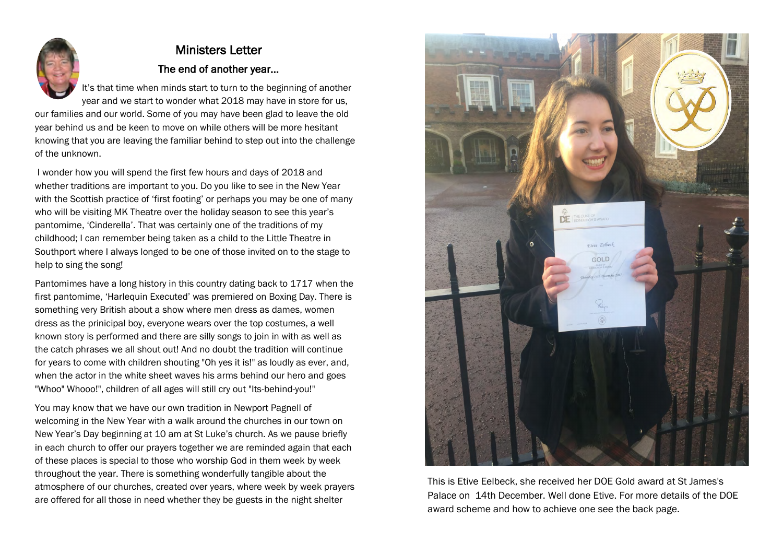

# Ministers Letter The end of another year...

It's that time when minds start to turn to the beginning of another year and we start to wonder what 2018 may have in store for us, our families and our world. Some of you may have been glad to leave the old

year behind us and be keen to move on while others will be more hesitant knowing that you are leaving the familiar behind to step out into the challenge of the unknown.

I wonder how you will spend the first few hours and days of 2018 and whether traditions are important to you. Do you like to see in the New Year with the Scottish practice of 'first footing' or perhaps you may be one of many who will be visiting MK Theatre over the holiday season to see this year's pantomime, 'Cinderella'. That was certainly one of the traditions of my childhood; I can remember being taken as a child to the Little Theatre in Southport where I always longed to be one of those invited on to the stage to help to sing the song!

Pantomimes have a long history in this country dating back to 1717 when the first pantomime, 'Harlequin Executed' was premiered on Boxing Day. There is something very British about a show where men dress as dames, women dress as the prinicipal boy, everyone wears over the top costumes, a well known story is performed and there are silly songs to join in with as well as the catch phrases we all shout out! And no doubt the tradition will continue for years to come with children shouting "Oh yes it is!" as loudly as ever, and, when the actor in the white sheet waves his arms behind our hero and goes "Whoo" Whooo!", children of all ages will still cry out "Its-behind-you!"

You may know that we have our own tradition in Newport Pagnell of welcoming in the New Year with a walk around the churches in our town on New Year's Day beginning at 10 am at St Luke's church. As we pause briefly in each church to offer our prayers together we are reminded again that each of these places is special to those who worship God in them week by week throughout the year. There is something wonderfully tangible about the atmosphere of our churches, created over years, where week by week prayers are offered for all those in need whether they be guests in the night shelter



This is Etive Eelbeck, she received her DOE Gold award at St James's Palace on 14th December. Well done Etive. For more details of the DOE award scheme and how to achieve one see the back page.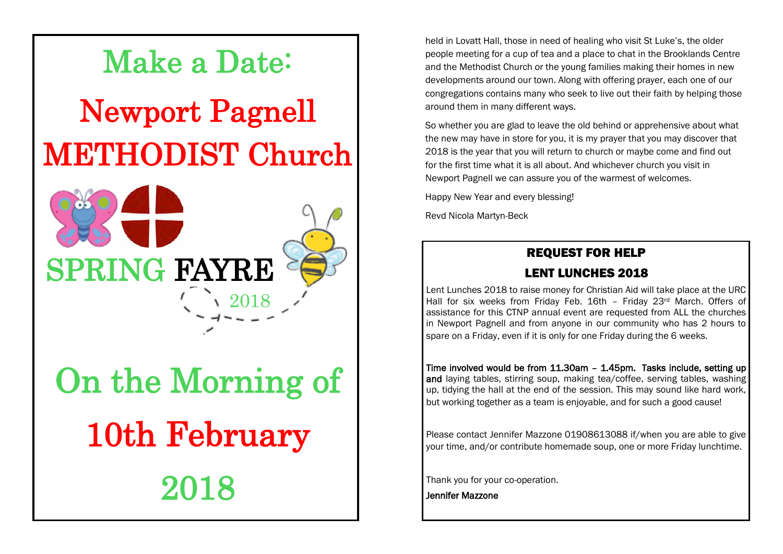

2018

held in Lovatt Hall, those in need of healing who visit St Luke's, the older people meeting for a cup of tea and a place to chat in the Brooklands Centre and the Methodist Church or the young families making their homes in new developments around our town. Along with offering prayer, each one of our congregations contains many who seek to live out their faith by helping those around them in many different ways.

So whether you are glad to leave the old behind or apprehensive about what the new may have in store for you, it is my prayer that you may discover that 2018 is the year that you will return to church or maybe come and find out for the first time what it is all about. And whichever church you visit in Newport Pagnell we can assure you of the warmest of welcomes.

Happy New Year and every blessing!

Revd Nicola Martyn-Beck

#### REQUEST FOR HELP

#### LENT LUNCHES 2018

Lent Lunches 2018 to raise money for Christian Aid will take place at the URC Hall for six weeks from Friday Feb. 16th - Friday 23rd March. Offers of assistance for this CTNP annual event are requested from ALL the churches in Newport Pagnell and from anyone in our community who has 2 hours to spare on a Friday, even if it is only for one Friday during the 6 weeks.

Time involved would be from 11.30am – 1.45pm. Tasks include, setting up and laying tables, stirring soup, making tea/coffee, serving tables, washing up, tidying the hall at the end of the session. This may sound like hard work, but working together as a team is enjoyable, and for such a good cause!

Please contact Jennifer Mazzone 01908613088 if/when you are able to give your time, and/or contribute homemade soup, one or more Friday lunchtime.

Thank you for your co-operation.

Jennifer Mazzone